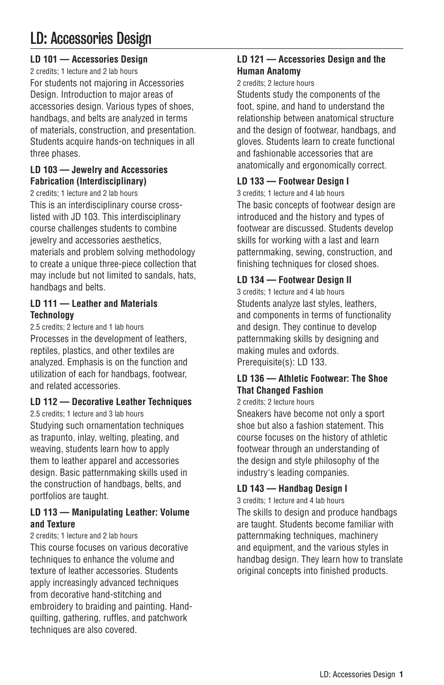# LD: Accessories Design

# **LD 101 — Accessories Design**

2 credits; 1 lecture and 2 lab hours For students not majoring in Accessories Design. Introduction to major areas of accessories design. Various types of shoes, handbags, and belts are analyzed in terms of materials, construction, and presentation. Students acquire hands-on techniques in all three phases.

## **LD 103 — Jewelry and Accessories Fabrication (Interdisciplinary)**

2 credits; 1 lecture and 2 lab hours This is an interdisciplinary course crosslisted with JD 103. This interdisciplinary course challenges students to combine jewelry and accessories aesthetics, materials and problem solving methodology to create a unique three-piece collection that may include but not limited to sandals, hats, handbags and belts.

## **LD 111 — Leather and Materials Technology**

2.5 credits; 2 lecture and 1 lab hours Processes in the development of leathers, reptiles, plastics, and other textiles are analyzed. Emphasis is on the function and utilization of each for handbags, footwear, and related accessories.

# **LD 112 — Decorative Leather Techniques**

2.5 credits; 1 lecture and 3 lab hours Studying such ornamentation techniques as trapunto, inlay, welting, pleating, and weaving, students learn how to apply them to leather apparel and accessories design. Basic patternmaking skills used in the construction of handbags, belts, and portfolios are taught.

## **LD 113 — Manipulating Leather: Volume and Texture**

#### 2 credits; 1 lecture and 2 lab hours

This course focuses on various decorative techniques to enhance the volume and texture of leather accessories. Students apply increasingly advanced techniques from decorative hand-stitching and embroidery to braiding and painting. Handquilting, gathering, ruffles, and patchwork techniques are also covered.

# **LD 121 — Accessories Design and the Human Anatomy**

2 credits; 2 lecture hours

Students study the components of the foot, spine, and hand to understand the relationship between anatomical structure and the design of footwear, handbags, and gloves. Students learn to create functional and fashionable accessories that are anatomically and ergonomically correct.

# **LD 133 — Footwear Design I**

3 credits; 1 lecture and 4 lab hours The basic concepts of footwear design are introduced and the history and types of footwear are discussed. Students develop skills for working with a last and learn patternmaking, sewing, construction, and finishing techniques for closed shoes.

# **LD 134 — Footwear Design II**

3 credits; 1 lecture and 4 lab hours Students analyze last styles, leathers, and components in terms of functionality and design. They continue to develop patternmaking skills by designing and making mules and oxfords. Prerequisite(s): LD 133.

# **LD 136 — Athletic Footwear: The Shoe That Changed Fashion**

## 2 credits; 2 lecture hours

Sneakers have become not only a sport shoe but also a fashion statement. This course focuses on the history of athletic footwear through an understanding of the design and style philosophy of the industry's leading companies.

# **LD 143 — Handbag Design I**

3 credits; 1 lecture and 4 lab hours The skills to design and produce handbags are taught. Students become familiar with patternmaking techniques, machinery and equipment, and the various styles in handbag design. They learn how to translate original concepts into finished products.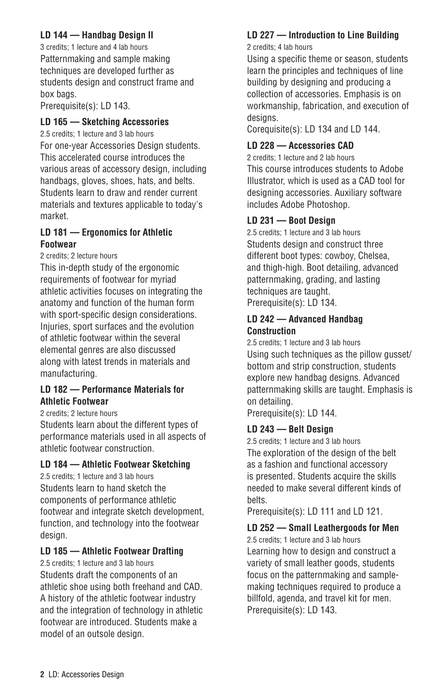# **LD 144 — Handbag Design II**

3 credits; 1 lecture and 4 lab hours Patternmaking and sample making techniques are developed further as students design and construct frame and box bags.

Prerequisite(s): LD 143.

# **LD 165 — Sketching Accessories**

2.5 credits; 1 lecture and 3 lab hours For one-year Accessories Design students. This accelerated course introduces the various areas of accessory design, including handbags, gloves, shoes, hats, and belts. Students learn to draw and render current materials and textures applicable to today's market.

#### **LD 181 — Ergonomics for Athletic Footwear**

2 credits; 2 lecture hours

This in-depth study of the ergonomic requirements of footwear for myriad athletic activities focuses on integrating the anatomy and function of the human form with sport-specific design considerations. Injuries, sport surfaces and the evolution of athletic footwear within the several elemental genres are also discussed along with latest trends in materials and manufacturing.

#### **LD 182 — Performance Materials for Athletic Footwear**

2 credits; 2 lecture hours

Students learn about the different types of performance materials used in all aspects of athletic footwear construction.

## **LD 184 — Athletic Footwear Sketching**

2.5 credits; 1 lecture and 3 lab hours Students learn to hand sketch the components of performance athletic footwear and integrate sketch development, function, and technology into the footwear design.

# **LD 185 — Athletic Footwear Drafting**

2.5 credits; 1 lecture and 3 lab hours Students draft the components of an athletic shoe using both freehand and CAD. A history of the athletic footwear industry and the integration of technology in athletic footwear are introduced. Students make a model of an outsole design.

# **LD 227 — Introduction to Line Building**

2 credits; 4 lab hours

Using a specific theme or season, students learn the principles and techniques of line building by designing and producing a collection of accessories. Emphasis is on workmanship, fabrication, and execution of desians.

Corequisite(s): LD 134 and LD 144.

# **LD 228 — Accessories CAD**

2 credits; 1 lecture and 2 lab hours This course introduces students to Adobe Illustrator, which is used as a CAD tool for designing accessories. Auxiliary software includes Adobe Photoshop.

# **LD 231 — Boot Design**

2.5 credits; 1 lecture and 3 lab hours Students design and construct three different boot types: cowboy, Chelsea, and thigh-high. Boot detailing, advanced patternmaking, grading, and lasting techniques are taught. Prerequisite(s): LD 134.

## **LD 242 — Advanced Handbag Construction**

2.5 credits; 1 lecture and 3 lab hours Using such techniques as the pillow gusset/ bottom and strip construction, students explore new handbag designs. Advanced patternmaking skills are taught. Emphasis is on detailing.

Prerequisite(s): LD 144.

# **LD 243 — Belt Design**

2.5 credits; 1 lecture and 3 lab hours The exploration of the design of the belt as a fashion and functional accessory is presented. Students acquire the skills needed to make several different kinds of belts.

Prerequisite(s): LD 111 and LD 121.

# **LD 252 — Small Leathergoods for Men**

2.5 credits; 1 lecture and 3 lab hours Learning how to design and construct a variety of small leather goods, students focus on the patternmaking and samplemaking techniques required to produce a billfold, agenda, and travel kit for men. Prerequisite(s): LD 143.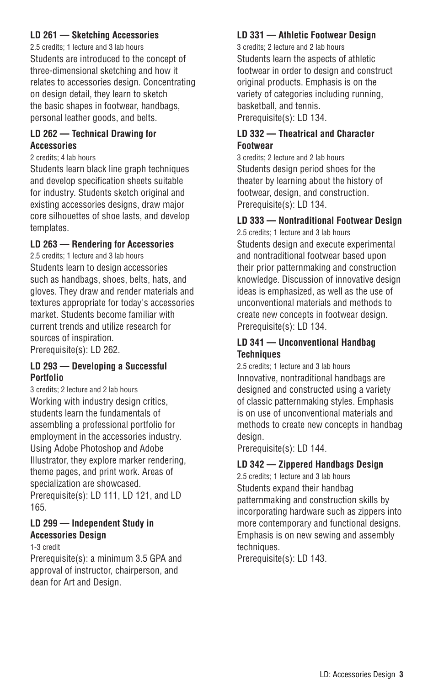#### **LD 261 — Sketching Accessories**

2.5 credits; 1 lecture and 3 lab hours Students are introduced to the concept of three-dimensional sketching and how it relates to accessories design. Concentrating on design detail, they learn to sketch the basic shapes in footwear, handbags, personal leather goods, and belts.

#### **LD 262 — Technical Drawing for Accessories**

#### 2 credits; 4 lab hours

Students learn black line graph techniques and develop specification sheets suitable for industry. Students sketch original and existing accessories designs, draw major core silhouettes of shoe lasts, and develop templates.

#### **LD 263 — Rendering for Accessories**

2.5 credits; 1 lecture and 3 lab hours Students learn to design accessories such as handbags, shoes, belts, hats, and gloves. They draw and render materials and textures appropriate for today's accessories market. Students become familiar with current trends and utilize research for sources of inspiration. Prerequisite(s): LD 262.

#### **LD 293 — Developing a Successful Portfolio**

3 credits; 2 lecture and 2 lab hours Working with industry design critics, students learn the fundamentals of assembling a professional portfolio for employment in the accessories industry. Using Adobe Photoshop and Adobe Illustrator, they explore marker rendering, theme pages, and print work. Areas of specialization are showcased. Prerequisite(s): LD 111, LD 121, and LD 165.

## **LD 299 — Independent Study in Accessories Design**

1-3 credit

Prerequisite(s): a minimum 3.5 GPA and approval of instructor, chairperson, and dean for Art and Design.

## **LD 331 — Athletic Footwear Design**

3 credits; 2 lecture and 2 lab hours Students learn the aspects of athletic footwear in order to design and construct original products. Emphasis is on the variety of categories including running, basketball, and tennis. Prerequisite(s): LD 134.

## **LD 332 — Theatrical and Character Footwear**

3 credits; 2 lecture and 2 lab hours Students design period shoes for the theater by learning about the history of footwear, design, and construction. Prerequisite(s): LD 134.

# **LD 333 — Nontraditional Footwear Design**

2.5 credits; 1 lecture and 3 lab hours Students design and execute experimental and nontraditional footwear based upon their prior patternmaking and construction knowledge. Discussion of innovative design ideas is emphasized, as well as the use of unconventional materials and methods to create new concepts in footwear design. Prerequisite(s): LD 134.

#### **LD 341 — Unconventional Handbag Techniques**

2.5 credits; 1 lecture and 3 lab hours Innovative, nontraditional handbags are designed and constructed using a variety of classic patternmaking styles. Emphasis is on use of unconventional materials and methods to create new concepts in handbag design.

Prerequisite(s): LD 144.

## **LD 342 — Zippered Handbags Design**

2.5 credits; 1 lecture and 3 lab hours Students expand their handbag patternmaking and construction skills by incorporating hardware such as zippers into more contemporary and functional designs. Emphasis is on new sewing and assembly techniques.

Prerequisite(s): LD 143.